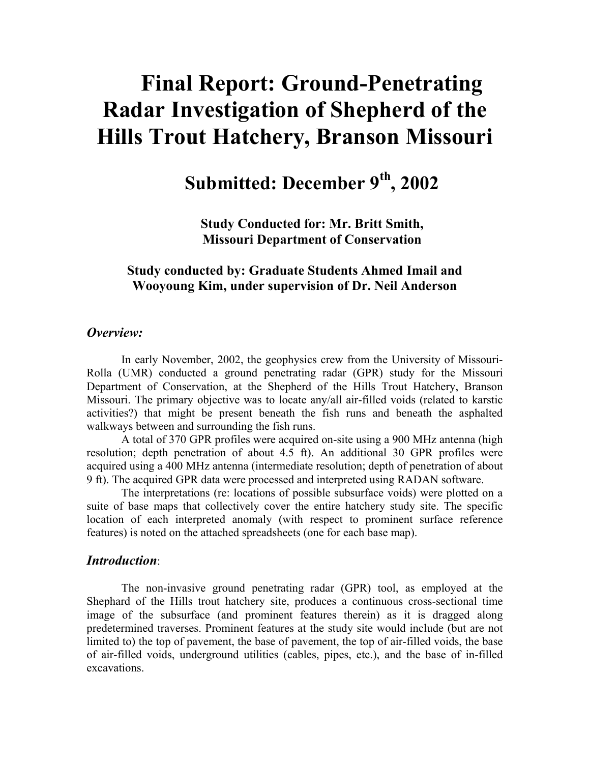# **Final Report: Ground-Penetrating Radar Investigation of Shepherd of the Hills Trout Hatchery, Branson Missouri**

**Submitted: December 9th, 2002** 

**Study Conducted for: Mr. Britt Smith, Missouri Department of Conservation** 

## **Study conducted by: Graduate Students Ahmed Imail and Wooyoung Kim, under supervision of Dr. Neil Anderson**

### *Overview:*

In early November, 2002, the geophysics crew from the University of Missouri-Rolla (UMR) conducted a ground penetrating radar (GPR) study for the Missouri Department of Conservation, at the Shepherd of the Hills Trout Hatchery, Branson Missouri. The primary objective was to locate any/all air-filled voids (related to karstic activities?) that might be present beneath the fish runs and beneath the asphalted walkways between and surrounding the fish runs.

A total of 370 GPR profiles were acquired on-site using a 900 MHz antenna (high resolution; depth penetration of about 4.5 ft). An additional 30 GPR profiles were acquired using a 400 MHz antenna (intermediate resolution; depth of penetration of about 9 ft). The acquired GPR data were processed and interpreted using RADAN software.

The interpretations (re: locations of possible subsurface voids) were plotted on a suite of base maps that collectively cover the entire hatchery study site. The specific location of each interpreted anomaly (with respect to prominent surface reference features) is noted on the attached spreadsheets (one for each base map).

#### *Introduction*:

The non-invasive ground penetrating radar (GPR) tool, as employed at the Shephard of the Hills trout hatchery site, produces a continuous cross-sectional time image of the subsurface (and prominent features therein) as it is dragged along predetermined traverses. Prominent features at the study site would include (but are not limited to) the top of pavement, the base of pavement, the top of air-filled voids, the base of air-filled voids, underground utilities (cables, pipes, etc.), and the base of in-filled excavations.